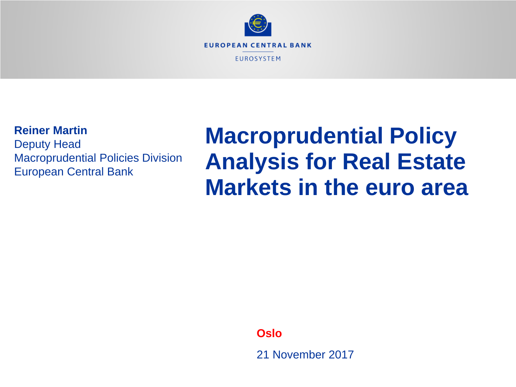

# **Reiner Martin**

Deputy Head Macroprudential Policies Division European Central Bank

# **Macroprudential Policy Analysis for Real Estate Markets in the euro area**

**Oslo**

21 November 2017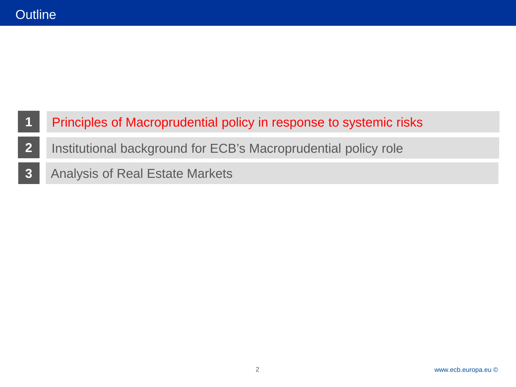- Principles of Macroprudential policy in response to systemic risks
- Institutional background for ECB's Macroprudential policy role
- Analysis of Real Estate Markets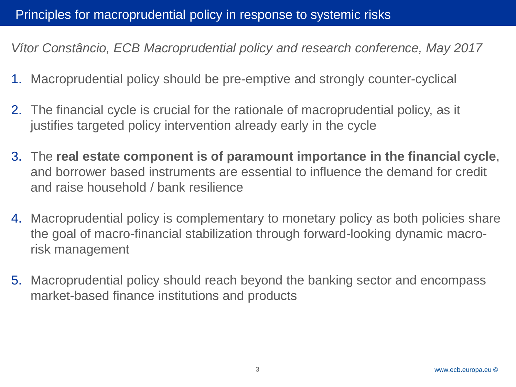*Vítor Constâncio, ECB Macroprudential policy and research conference, May 2017*

- 1. Macroprudential policy should be pre-emptive and strongly counter-cyclical
- 2. The financial cycle is crucial for the rationale of macroprudential policy, as it justifies targeted policy intervention already early in the cycle
- 3. The **real estate component is of paramount importance in the financial cycle**, and borrower based instruments are essential to influence the demand for credit and raise household / bank resilience
- 4. Macroprudential policy is complementary to monetary policy as both policies share the goal of macro-financial stabilization through forward-looking dynamic macrorisk management
- 5. Macroprudential policy should reach beyond the banking sector and encompass market-based finance institutions and products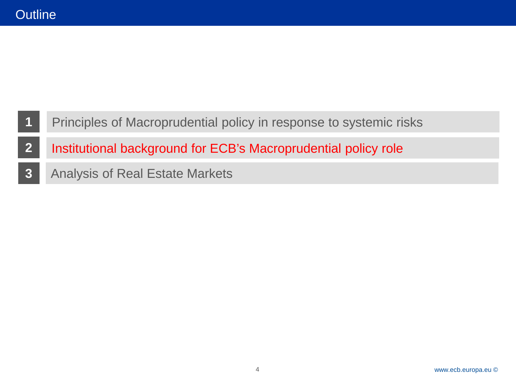- Principles of Macroprudential policy in response to systemic risks
- Institutional background for ECB's Macroprudential policy role
- Analysis of Real Estate Markets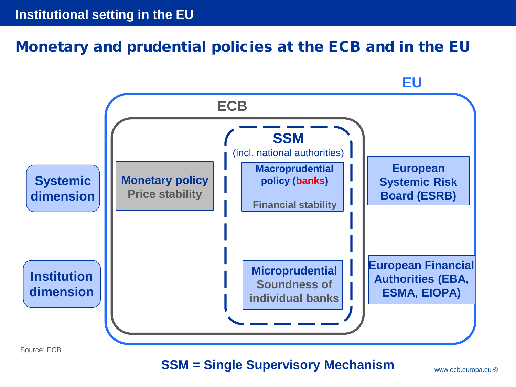# Monetary and prudential policies at the ECB and in the EU



Source: ECB

### **SSM = Single Supervisory Mechanism**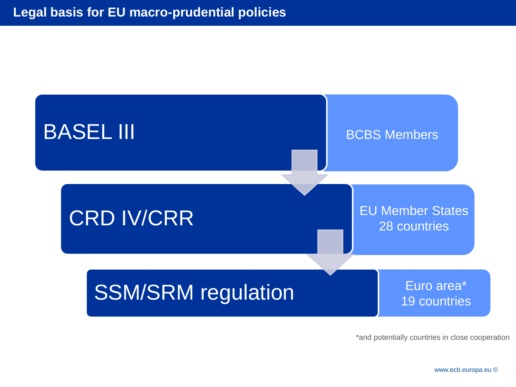

\*and potentially countries in close cooperation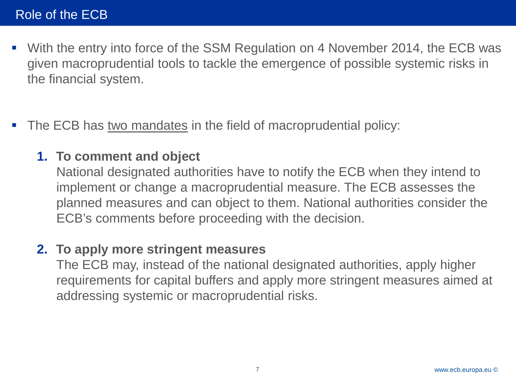- With the entry into force of the SSM Regulation on 4 November 2014, the ECB was given macroprudential tools to tackle the emergence of possible systemic risks in the financial system.
- **The ECB has two mandates in the field of macroprudential policy:**

### **1. To comment and object**

National designated authorities have to notify the ECB when they intend to implement or change a macroprudential measure. The ECB assesses the planned measures and can object to them. National authorities consider the ECB's comments before proceeding with the decision.

### **2. To apply more stringent measures**

The ECB may, instead of the national designated authorities, apply higher requirements for capital buffers and apply more stringent measures aimed at addressing systemic or macroprudential risks.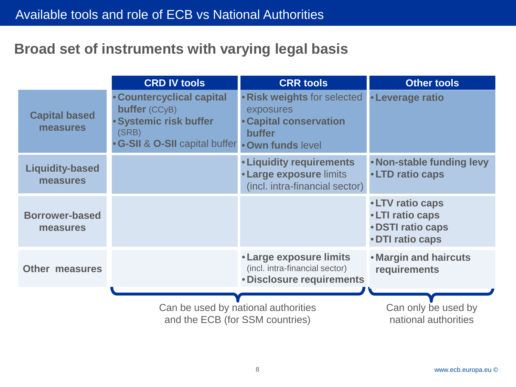# **Broad set of instruments with varying legal basis**

|                                    | <b>CRD IV tools</b>                                                                                                                             | <b>CRR tools</b>                                                                                    | <b>Other tools</b>                                                                         |
|------------------------------------|-------------------------------------------------------------------------------------------------------------------------------------------------|-----------------------------------------------------------------------------------------------------|--------------------------------------------------------------------------------------------|
| <b>Capital based</b><br>measures   | <b>• Countercyclical capital</b><br><b>buffer</b> (CCyB)<br>· Systemic risk buffer<br>(SRB)<br>. G-SII & O-SII capital buffer . Own funds level | • Risk weights for selected<br>exposures<br><b>• Capital conservation</b><br><b>buffer</b>          | <b>.</b> Leverage ratio                                                                    |
| <b>Liquidity-based</b><br>measures |                                                                                                                                                 | <b>.</b> Liquidity requirements<br><b>. Large exposure limits</b><br>(incl. intra-financial sector) | . Non-stable funding levy<br>•LTD ratio caps                                               |
| <b>Borrower-based</b><br>measures  |                                                                                                                                                 |                                                                                                     | <b>. LTV ratio caps</b><br>•LTI ratio caps<br><b>. DSTI ratio caps</b><br>• DTI ratio caps |
| <b>Other measures</b>              |                                                                                                                                                 | • Large exposure limits<br>(incl. intra-financial sector)<br>• Disclosure requirements              | <b>. Margin and haircuts</b><br>requirements                                               |
|                                    | Can be used by national authorities<br>and the ECB (for SSM countries)                                                                          |                                                                                                     | Can only be used by<br>national authorities                                                |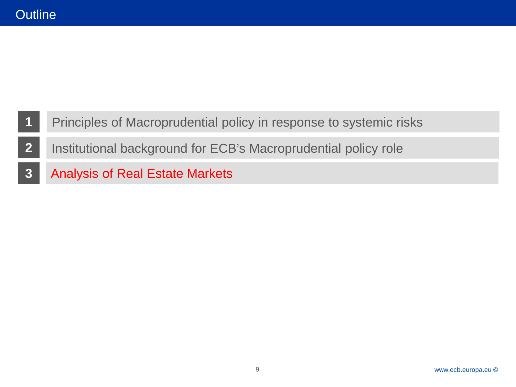- Principles of Macroprudential policy in response to systemic risks
- Institutional background for ECB's Macroprudential policy role
- Analysis of Real Estate Markets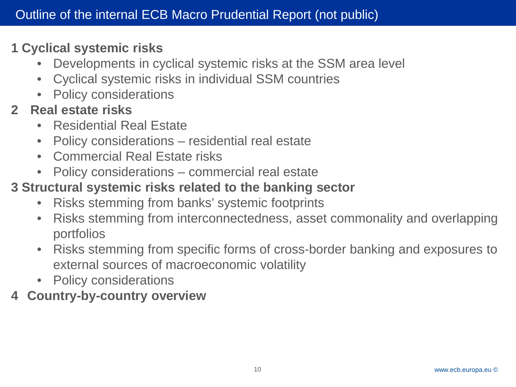# **1 Cyclical systemic risks**

- Developments in cyclical systemic risks at the SSM area level
- Cyclical systemic risks in individual SSM countries
- Policy considerations
- **2 Real estate risks**
	- Residential Real Estate
	- Policy considerations residential real estate
	- Commercial Real Estate risks
	- Policy considerations commercial real estate

# **3 Structural systemic risks related to the banking sector**

- Risks stemming from banks' systemic footprints
- Risks stemming from interconnectedness, asset commonality and overlapping portfolios
- Risks stemming from specific forms of cross-border banking and exposures to external sources of macroeconomic volatility
- Policy considerations
- **4 Country-by-country overview**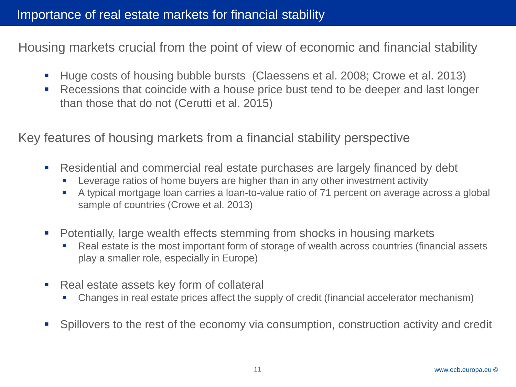Housing markets crucial from the point of view of economic and financial stability

- Huge costs of housing bubble bursts (Claessens et al. 2008; Crowe et al. 2013)
- Recessions that coincide with a house price bust tend to be deeper and last longer than those that do not (Cerutti et al. 2015)

Key features of housing markets from a financial stability perspective

- Residential and commercial real estate purchases are largely financed by debt
	- Leverage ratios of home buyers are higher than in any other investment activity
	- A typical mortgage loan carries a loan-to-value ratio of 71 percent on average across a global sample of countries (Crowe et al. 2013)
- Potentially, large wealth effects stemming from shocks in housing markets
	- Real estate is the most important form of storage of wealth across countries (financial assets play a smaller role, especially in Europe)
- Real estate assets key form of collateral
	- Changes in real estate prices affect the supply of credit (financial accelerator mechanism)
- Spillovers to the rest of the economy via consumption, construction activity and credit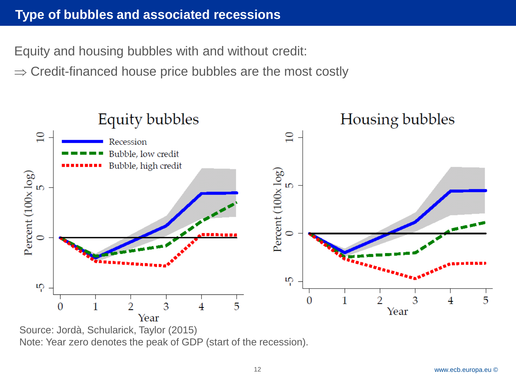Equity and housing bubbles with and without credit:

 $\Rightarrow$  Credit-financed house price bubbles are the most costly



Source: Jordà, Schularick, Taylor (2015) Note: Year zero denotes the peak of GDP (start of the recession).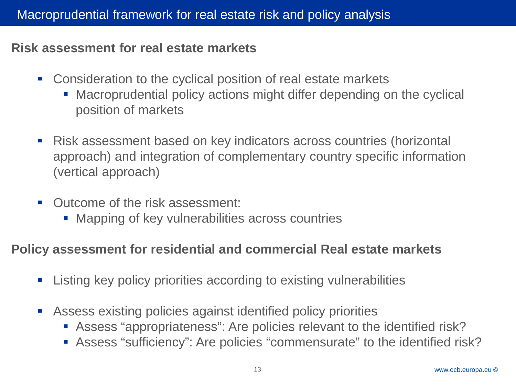### **Risk assessment for real estate markets**

- **Consideration to the cyclical position of real estate markets** 
	- Macroprudential policy actions might differ depending on the cyclical position of markets
- Risk assessment based on key indicators across countries (horizontal approach) and integration of complementary country specific information (vertical approach)
- Outcome of the risk assessment:
	- Mapping of key vulnerabilities across countries

### **Policy assessment for residential and commercial Real estate markets**

- **EXTEND EXE** Listing key policy priorities according to existing vulnerabilities
- Assess existing policies against identified policy priorities
	- Assess "appropriateness": Are policies relevant to the identified risk?
	- Assess "sufficiency": Are policies "commensurate" to the identified risk?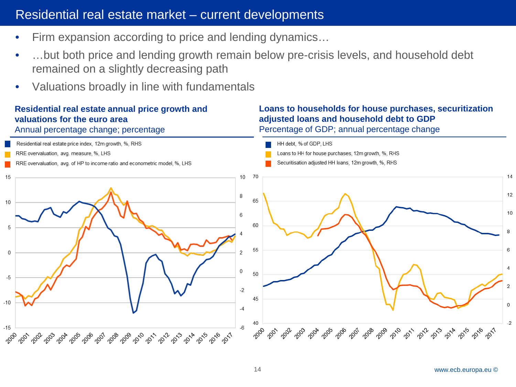### Residential real estate market - current developments

- Firm expansion according to price and lending dynamics...
- ...but both price and lending growth remain below pre-crisis levels, and household debt remained on a slightly decreasing path
- Valuations broadly in line with fundamentals

### **Residential real estate annual price growth and valuations for the euro area**

#### Annual percentage change; percentage

#### **Loans to households for house purchases, securitization adjusted loans and household debt to GDP** Percentage of GDP; annual percentage change

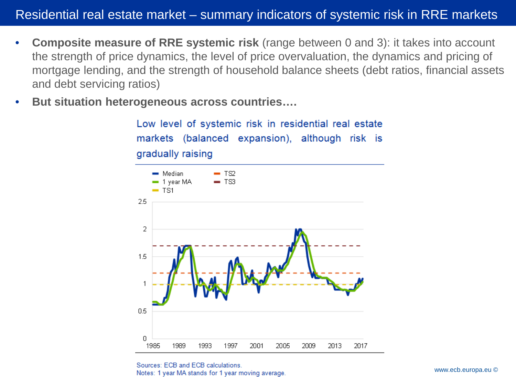- **Composite measure of RRE systemic risk** (range between 0 and 3): it takes into account the strength of price dynamics, the level of price overvaluation, the dynamics and pricing of mortgage lending, and the strength of household balance sheets (debt ratios, financial assets and debt servicing ratios)
- **But situation heterogeneous across countries….**

Low level of systemic risk in residential real estate markets (balanced expansion), although risk is gradually raising



Sources: ECB and ECB calculations. Motes: 1 year MA stands for 1 year moving average.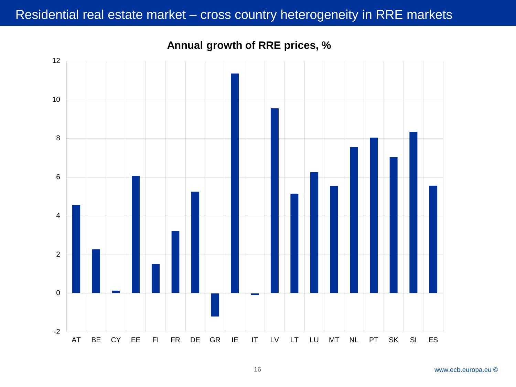### Residential real estate market - cross country heterogeneity in RRE markets



**Annual growth of RRE prices, %**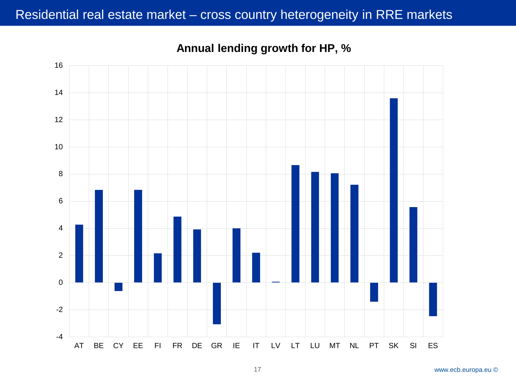### Residential real estate market - cross country heterogeneity in RRE markets

-4 -2 AT BE CY EE FI FR DE GR IE IT LV LT LU MT NL PT SK SI ES

**Annual lending growth for HP, %**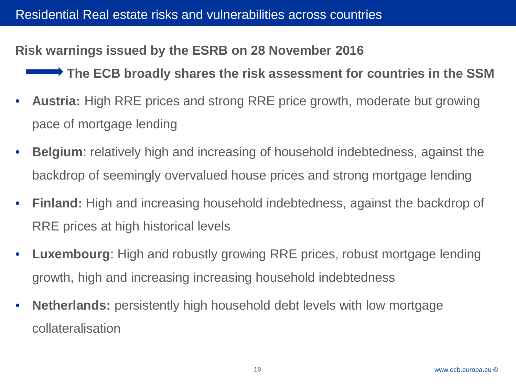### **Risk warnings issued by the ESRB on 28 November 2016**

**The ECB broadly shares the risk assessment for countries in the SSM**

- **Austria:** High RRE prices and strong RRE price growth, moderate but growing pace of mortgage lending
- **Belgium**: relatively high and increasing of household indebtedness, against the backdrop of seemingly overvalued house prices and strong mortgage lending
- **Finland:** High and increasing household indebtedness, against the backdrop of RRE prices at high historical levels
- **Luxembourg**: High and robustly growing RRE prices, robust mortgage lending growth, high and increasing increasing household indebtedness
- **Netherlands:** persistently high household debt levels with low mortgage collateralisation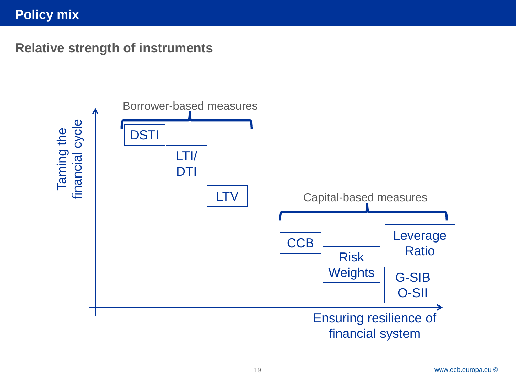### **Policy mix**

**Relative strength of instruments**

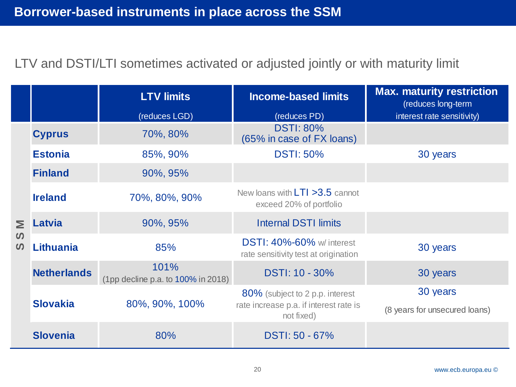## LTV and DSTI/LTI sometimes activated or adjusted jointly or with maturity limit

|                                                     |                                   | <b>LTV limits</b>                                    | <b>Income-based limits</b>                                               | <b>Max. maturity restriction</b><br>(reduces long-term |
|-----------------------------------------------------|-----------------------------------|------------------------------------------------------|--------------------------------------------------------------------------|--------------------------------------------------------|
|                                                     |                                   | (reduces LGD)                                        | (reduces PD)                                                             | interest rate sensitivity)                             |
| Σ<br>$\boldsymbol{\omega}$<br>$\boldsymbol{\omega}$ | <b>Cyprus</b>                     | 70%, 80%                                             | <b>DSTI: 80%</b><br>(65% in case of FX loans)                            |                                                        |
|                                                     | <b>Estonia</b>                    | 85%, 90%                                             | <b>DSTI: 50%</b>                                                         | 30 years                                               |
|                                                     | <b>Finland</b>                    | 90%, 95%                                             |                                                                          |                                                        |
|                                                     | <b>Ireland</b>                    | 70%, 80%, 90%                                        | New loans with $LT1 > 3.5$ cannot<br>exceed 20% of portfolio             |                                                        |
|                                                     | Latvia                            | 90%, 95%                                             | <b>Internal DSTI limits</b>                                              |                                                        |
|                                                     | <b>Lithuania</b>                  | 85%                                                  | <b>DSTI: 40%-60%</b> w/ interest<br>rate sensitivity test at origination | 30 years                                               |
|                                                     | <b>Netherlands</b>                | 101%<br>(1pp decline p.a. to 100% in 2018)           | DSTI: 10 - 30%                                                           | 30 years                                               |
|                                                     | <b>Slovakia</b><br>80%, 90%, 100% |                                                      | 80% (subject to 2 p.p. interest                                          | 30 years                                               |
|                                                     |                                   | rate increase p.a. if interest rate is<br>not fixed) | (8 years for unsecured loans)                                            |                                                        |
|                                                     | <b>Slovenia</b>                   | 80%                                                  | DSTI: 50 - 67%                                                           |                                                        |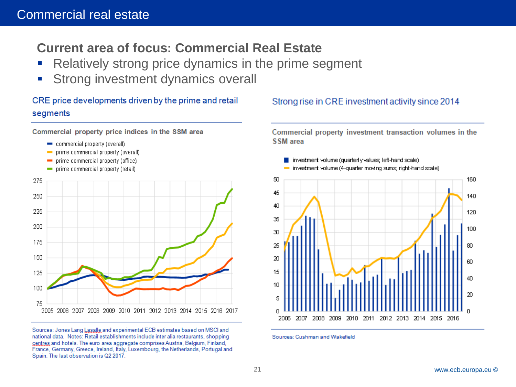# **Current area of focus: Commercial Real Estate**

- **Relatively strong price dynamics in the prime segment**
- Strong investment dynamics overall

CRE price developments driven by the prime and retail segments

Commercial property price indices in the SSM area

- commercial property (overall)
- $\blacksquare$  prime commercial property (overall)
- $\blacksquare$  prime commercial property (office)
- prime commercial property (retail)



Sources: Jones Lang Lasalle and experimental ECB estimates based on MSCI and national data. Notes: Retail establishments include inter alia restaurants, shopping centres and hotels. The euro area aggregate comprises Austria, Belgium, Finland, France, Germany, Greece, Ireland, Italy, Luxembourg, the Netherlands, Portugal and Spain. The last observation is Q2 2017.

#### Strong rise in CRE investment activity since 2014

Commercial property investment transaction volumes in the SSM area



Sources: Cushman and Wakefield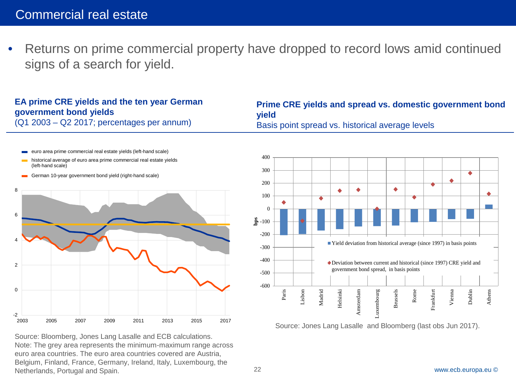• Returns on prime commercial property have dropped to record lows amid continued signs of a search for yield.

#### **EA prime CRE yields and the ten year German government bond yields**

(Q1 2003 – Q2 2017; percentages per annum)

**Prime CRE yields and spread vs. domestic government bond yield**  Basis point spread vs. historical average levels



Source: Bloomberg, Jones Lang Lasalle and ECB calculations. Note: The grey area represents the minimum-maximum range across euro area countries. The euro area countries covered are Austria, Belgium, Finland, France, Germany, Ireland, Italy, Luxembourg, the Netherlands, Portugal and Spain.



Source: Jones Lang Lasalle and Bloomberg (last obs Jun 2017).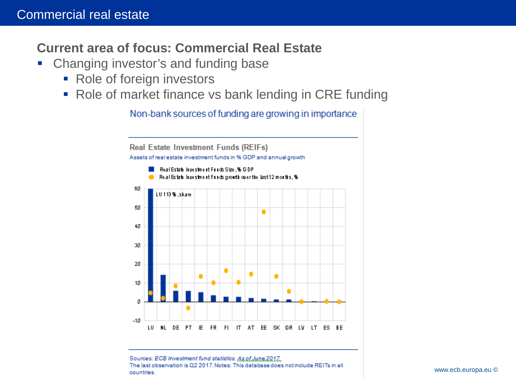### **Current area of focus: Commercial Real Estate**

- **Changing investor's and funding base** 
	- Role of foreign investors
	- Role of market finance vs bank lending in CRE funding

Non-bank sources of funding are growing in importance



Sources: ECB Investment fund statistics. As of June 2017. 23 The last observation is Q2 2017. Notes: This database does not include REITs in all<br>countries www.ecb.europa.eu © countries.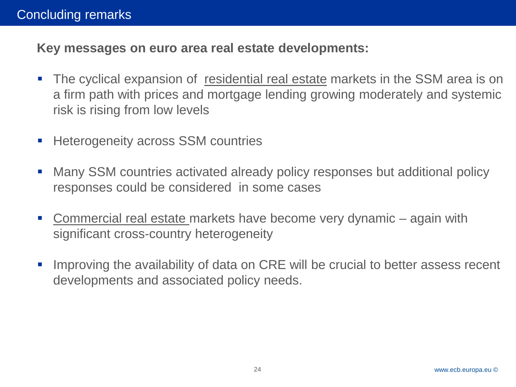**Key messages on euro area real estate developments:**

- The cyclical expansion of residential real estate markets in the SSM area is on a firm path with prices and mortgage lending growing moderately and systemic risk is rising from low levels
- Heterogeneity across SSM countries
- Many SSM countries activated already policy responses but additional policy responses could be considered in some cases
- Commercial real estate markets have become very dynamic again with significant cross-country heterogeneity
- **IMPROVING the availability of data on CRE will be crucial to better assess recent** developments and associated policy needs.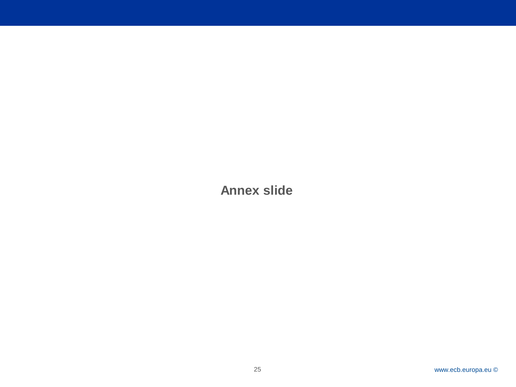**Annex slide**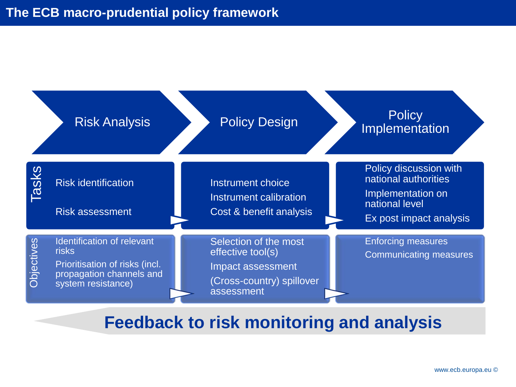

# **Feedback to risk monitoring and analysis**